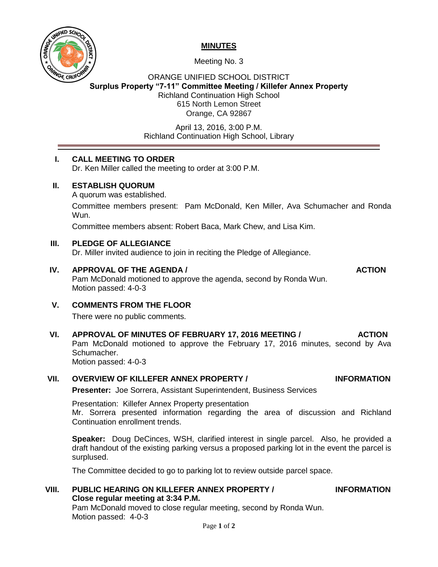

## **MINUTES**

Meeting No. 3

## ORANGE UNIFIED SCHOOL DISTRICT **Surplus Property "7-11" Committee Meeting / Killefer Annex Property** Richland Continuation High School 615 North Lemon Street Orange, CA 92867

April 13, 2016, 3:00 P.M. Richland Continuation High School, Library

# **I. CALL MEETING TO ORDER**

Dr. Ken Miller called the meeting to order at 3:00 P.M.

## **II. ESTABLISH QUORUM**

A quorum was established.

Committee members present: Pam McDonald, Ken Miller, Ava Schumacher and Ronda Wun.

Committee members absent: Robert Baca, Mark Chew, and Lisa Kim.

## **III. PLEDGE OF ALLEGIANCE**

Dr. Miller invited audience to join in reciting the Pledge of Allegiance.

## **IV. APPROVAL OF THE AGENDA / ACTION**

Pam McDonald motioned to approve the agenda, second by Ronda Wun. Motion passed: 4-0-3

# **V. COMMENTS FROM THE FLOOR**

There were no public comments.

# **VI. APPROVAL OF MINUTES OF FEBRUARY 17, 2016 MEETING / ACTION**

Pam McDonald motioned to approve the February 17, 2016 minutes, second by Ava Schumacher.

Motion passed: 4-0-3

# **VII. OVERVIEW OF KILLEFER ANNEX PROPERTY / INFORMATION**

**Presenter:** Joe Sorrera, Assistant Superintendent, Business Services

Presentation: Killefer Annex Property presentation Mr. Sorrera presented information regarding the area of discussion and Richland Continuation enrollment trends.

**Speaker:** Doug DeCinces, WSH, clarified interest in single parcel. Also, he provided a draft handout of the existing parking versus a proposed parking lot in the event the parcel is surplused.

The Committee decided to go to parking lot to review outside parcel space.

#### **VIII. PUBLIC HEARING ON KILLEFER ANNEX PROPERTY / INFORMATION Close regular meeting at 3:34 P.M.**

Pam McDonald moved to close regular meeting, second by Ronda Wun. Motion passed: 4-0-3